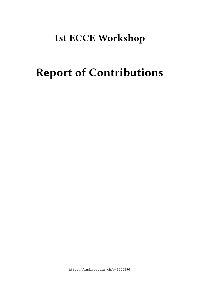# **1st ECCE Workshop**

# **Report of Contributions**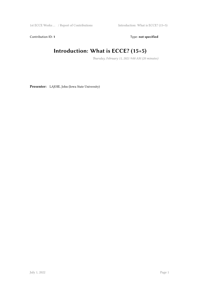Contribution ID: 1 Type: **not specified** 

#### **Introduction: What is ECCE? (15+5)**

*Thursday, February 11, 2021 9:00 AM (20 minutes)*

**Presenter:** LAJOIE, John (Iowa State University)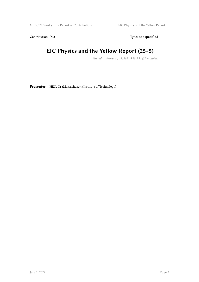Contribution ID: 2 Type: **not specified** 

#### **EIC Physics and the Yellow Report (25+5)**

*Thursday, February 11, 2021 9:20 AM (30 minutes)*

**Presenter:** HEN, Or (Massachusetts Institute of Technology)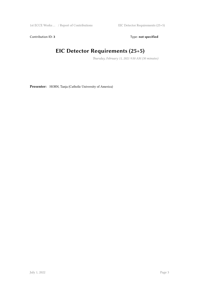Contribution ID: 3 Type: **not specified** 

#### **EIC Detector Requirements (25+5)**

*Thursday, February 11, 2021 9:50 AM (30 minutes)*

**Presenter:** HORN, Tanja (Catholic University of America)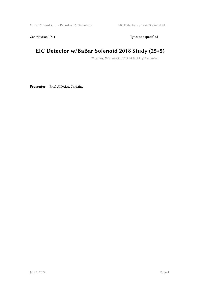Contribution ID: 4 Type: **not specified** 

#### **EIC Detector w/BaBar Solenoid 2018 Study (25+5)**

*Thursday, February 11, 2021 10:20 AM (30 minutes)*

**Presenter:** Prof. AIDALA, Christine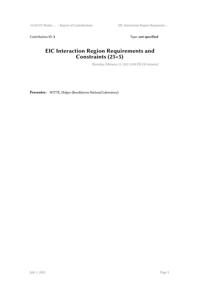Contribution ID: 5 Type: not specified

#### **EIC Interaction Region Requirements and Constraints (25+5)**

*Thursday, February 11, 2021 12:00 PM (30 minutes)*

**Presenter:** WITTE, Holger (Brookhaven National Laboratory)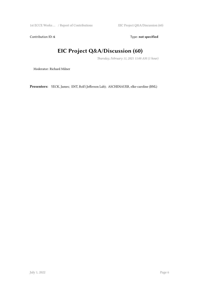Contribution ID: 6 Type: not specified

#### **EIC Project Q&A/Discussion (60)**

*Thursday, February 11, 2021 11:00 AM (1 hour)*

Moderator: Richard Milner

**Presenters:** YECK, James; ENT, Rolf (Jefferson Lab); ASCHENAUER, elke-caroline (BNL)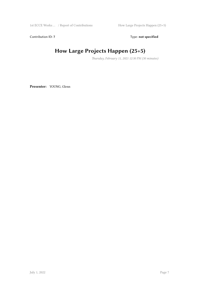Contribution ID: 7 Type: **not specified** 

## **How Large Projects Happen (25+5)**

*Thursday, February 11, 2021 12:30 PM (30 minutes)*

**Presenter:** YOUNG, Glenn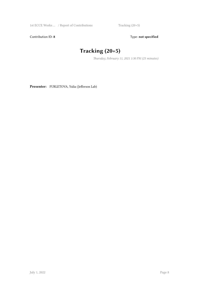Contribution ID: 8 Type: **not specified** 

## **Tracking (20+5)**

*Thursday, February 11, 2021 1:30 PM (25 minutes)*

**Presenter:** FURLETOVA, Yulia (Jefferson Lab)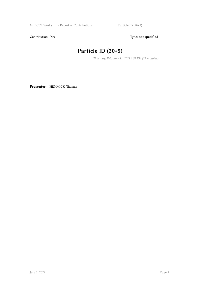Contribution ID: 9 Type: **not specified** 

#### **Particle ID (20+5)**

*Thursday, February 11, 2021 1:55 PM (25 minutes)*

**Presenter:** HEMMICK, Thomas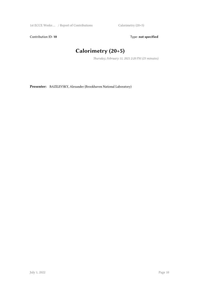Contribution ID: 10 **Type:** not specified

#### **Calorimetry (20+5)**

*Thursday, February 11, 2021 2:20 PM (25 minutes)*

**Presenter:** BAZILEVSKY, Alexander (Brookhaven National Laboratory)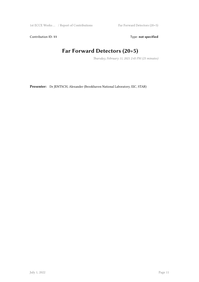Contribution ID: 11 Type: **not specified** 

#### **Far Forward Detectors (20+5)**

*Thursday, February 11, 2021 2:45 PM (25 minutes)*

**Presenter:** Dr JENTSCH, Alexander (Brookhaven National Laboratory, EIC, STAR)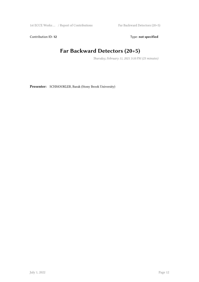Contribution ID: 12 Type: **not specified** 

#### **Far Backward Detectors (20+5)**

*Thursday, February 11, 2021 3:10 PM (25 minutes)*

**Presenter:** SCHMOOKLER, Barak (Stony Brook University)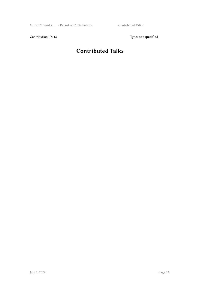Contribution ID: 13 Type: **not specified** 

#### **Contributed Talks**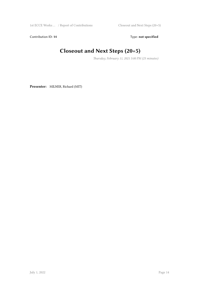Contribution ID: 14 Type: **not specified** 

#### **Closeout and Next Steps (20+5)**

*Thursday, February 11, 2021 5:00 PM (25 minutes)*

**Presenter:** MILNER, Richard (MIT)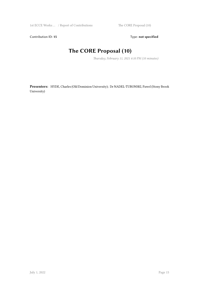Contribution ID: 15 Type: **not specified** 

#### **The CORE Proposal (10)**

*Thursday, February 11, 2021 4:10 PM (10 minutes)*

**Presenters:** HYDE, Charles (Old Dominion University); Dr NADEL-TURONSKI, Pawel (Stony Brook University)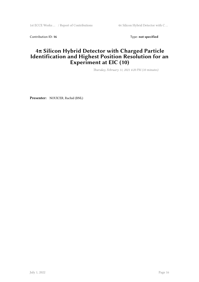Contribution ID: 16 Type: **not specified** 

#### **4π Silicon Hybrid Detector with Charged Particle Identification and Highest Position Resolution for an Experiment at EIC (10)**

*Thursday, February 11, 2021 4:20 PM (10 minutes)*

**Presenter:** NOUICER, Rachid (BNL)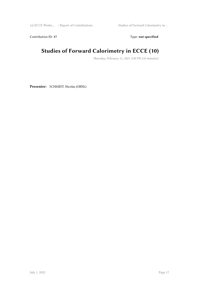Contribution ID: 17 Type: **not specified** 

#### **Studies of Forward Calorimetry in ECCE (10)**

*Thursday, February 11, 2021 3:50 PM (10 minutes)*

**Presenter:** SCHMIDT, Nicolas (ORNL)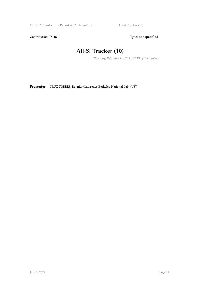Contribution ID: 18 Type: not specified

#### **All-Si Tracker (10)**

*Thursday, February 11, 2021 4:30 PM (10 minutes)*

**Presenter:** CRUZ TORRES, Reynier (Lawrence Berkeley National Lab. (US))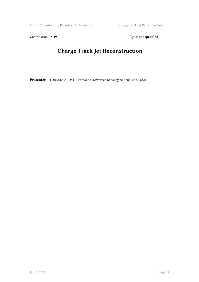Contribution ID: 19 Type: **not specified** 

#### **Charge Track Jet Reconstruction**

**Presenter:** TORALES ACOSTA, Fernando (Lawrence Berkeley National Lab. (US))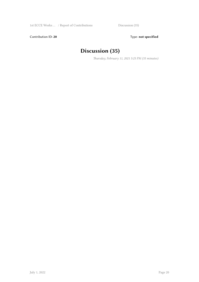Contribution ID: 20 Type: **not specified** 

#### **Discussion (35)**

*Thursday, February 11, 2021 5:25 PM (35 minutes)*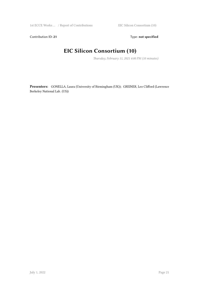Contribution ID: 21 Type: **not specified** 

#### **EIC Silicon Consortium (10)**

*Thursday, February 11, 2021 4:00 PM (10 minutes)*

**Presenters:** GONELLA, Laura (University of Birmingham (UK)); GREINER, Leo Clifford (Lawrence Berkeley National Lab. (US))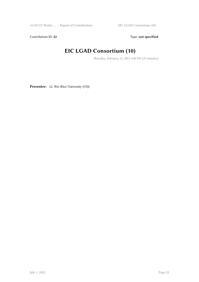Contribution ID: 22 Type: **not specified** 

#### **EIC LGAD Consortium (10)**

*Thursday, February 11, 2021 4:40 PM (10 minutes)*

Presenter: LI, Wei (Rice University (US))